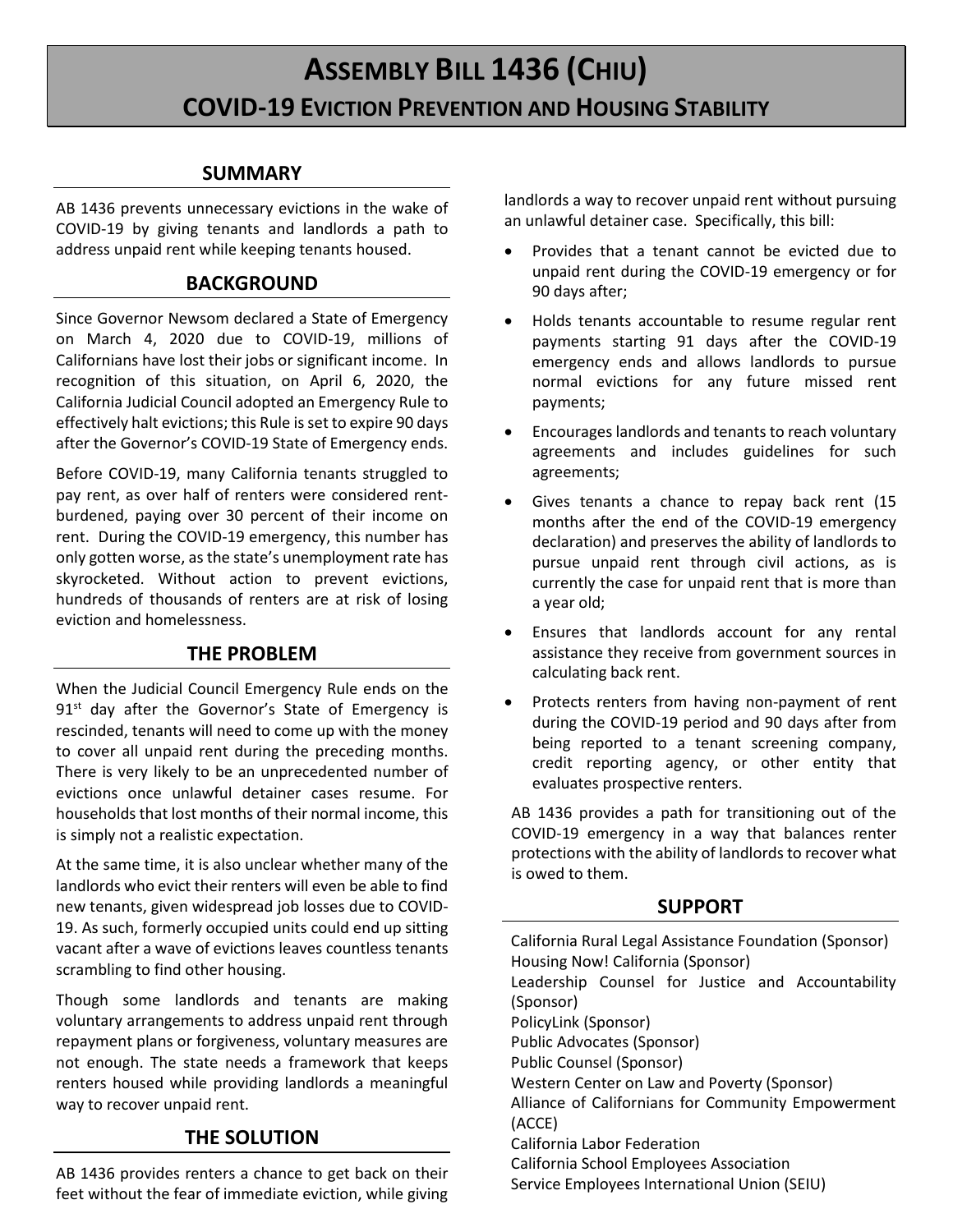# **ASSEMBLY BILL 1436 (CHIU) COVID-19 EVICTION PREVENTION AND HOUSING STABILITY**

# **SUMMARY**

AB 1436 prevents unnecessary evictions in the wake of COVID-19 by giving tenants and landlords a path to address unpaid rent while keeping tenants housed.

## **BACKGROUND**

Since Governor Newsom declared a State of Emergency on March 4, 2020 due to COVID-19, millions of Californians have lost their jobs or significant income. In recognition of this situation, on April 6, 2020, the California Judicial Council adopted an Emergency Rule to effectively halt evictions; this Rule is set to expire 90 days after the Governor's COVID-19 State of Emergency ends.

Before COVID-19, many California tenants struggled to pay rent, as over half of renters were considered rentburdened, paying over 30 percent of their income on rent. During the COVID-19 emergency, this number has only gotten worse, as the state's unemployment rate has skyrocketed. Without action to prevent evictions, hundreds of thousands of renters are at risk of losing eviction and homelessness.

# **THE PROBLEM**

When the Judicial Council Emergency Rule ends on the  $91<sup>st</sup>$  day after the Governor's State of Emergency is rescinded, tenants will need to come up with the money to cover all unpaid rent during the preceding months. There is very likely to be an unprecedented number of evictions once unlawful detainer cases resume. For households that lost months of their normal income, this is simply not a realistic expectation.

At the same time, it is also unclear whether many of the landlords who evict their renters will even be able to find new tenants, given widespread job losses due to COVID-19. As such, formerly occupied units could end up sitting vacant after a wave of evictions leaves countless tenants scrambling to find other housing.

Though some landlords and tenants are making voluntary arrangements to address unpaid rent through repayment plans or forgiveness, voluntary measures are not enough. The state needs a framework that keeps renters housed while providing landlords a meaningful way to recover unpaid rent.

# **THE SOLUTION**

AB 1436 provides renters a chance to get back on their feet without the fear of immediate eviction, while giving landlords a way to recover unpaid rent without pursuing an unlawful detainer case. Specifically, this bill:

- Provides that a tenant cannot be evicted due to unpaid rent during the COVID-19 emergency or for 90 days after;
- Holds tenants accountable to resume regular rent payments starting 91 days after the COVID-19 emergency ends and allows landlords to pursue normal evictions for any future missed rent payments;
- Encourages landlords and tenants to reach voluntary agreements and includes guidelines for such agreements;
- Gives tenants a chance to repay back rent (15 months after the end of the COVID-19 emergency declaration) and preserves the ability of landlords to pursue unpaid rent through civil actions, as is currently the case for unpaid rent that is more than a year old;
- Ensures that landlords account for any rental assistance they receive from government sources in calculating back rent.
- Protects renters from having non-payment of rent during the COVID-19 period and 90 days after from being reported to a tenant screening company, credit reporting agency, or other entity that evaluates prospective renters.

AB 1436 provides a path for transitioning out of the COVID-19 emergency in a way that balances renter protections with the ability of landlords to recover what is owed to them.

# **SUPPORT**

California Rural Legal Assistance Foundation (Sponsor) Housing Now! California (Sponsor) Leadership Counsel for Justice and Accountability (Sponsor) PolicyLink (Sponsor) Public Advocates (Sponsor) Public Counsel (Sponsor) Western Center on Law and Poverty (Sponsor) Alliance of Californians for Community Empowerment (ACCE) California Labor Federation California School Employees Association Service Employees International Union (SEIU)